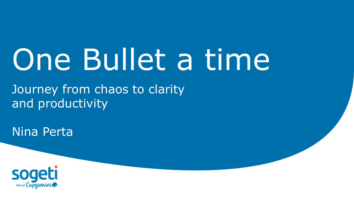# One Bullet a time

Journey from chaos to clarity and productivity

Nina Perta

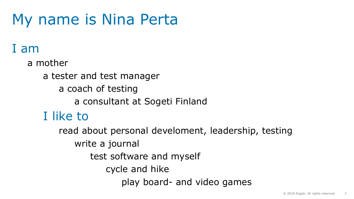## My name is Nina Perta

### I am

a mother a tester and test manager a coach of testing a consultant at Sogeti Finland I like to read about personal develoment, leadership, testing write a journal test software and myself cycle and hike

play board- and video games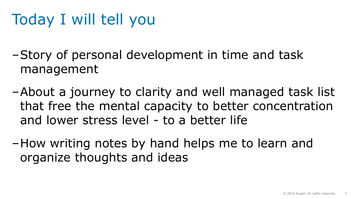## Today I will tell you

‒Story of personal development in time and task management

- ‒About a journey to clarity and well managed task list that free the mental capacity to better concentration and lower stress level - to a better life
- ‒How writing notes by hand helps me to learn and organize thoughts and ideas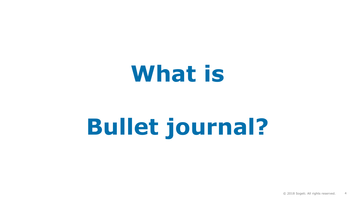## **What is**

# **Bullet journal?**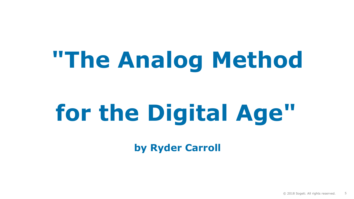# **"The Analog Method**

# **for the Digital Age"**

**by Ryder Carroll**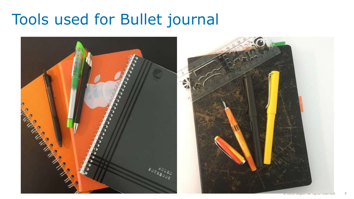### Tools used for Bullet journal

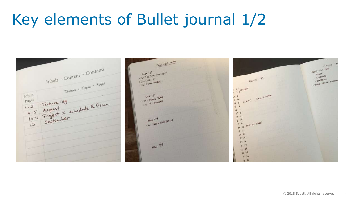## Key elements of Bullet journal 1/2

FUTURE LOA  $\mu_{\rm c36000}$ Inhalt · Content · Contenu - PERF TRIP DATA Sep 19 Sep '19<br>- 12: TESTING ASSEMBLY **PASSES** LUSTEN ALL TOWARD · CHATCHER - 12-18-11 THE TESTAR AWERE  $+60+4006$  20047 Thema + Topic + Sujet Seiten<br>Pages<br>1-3 Future 109<br>1-5 August x schedule & Plan<br>10-11 Project x schedule & Plan<br>10-11 Project x schedule 1 HOLLDAY  $-1$ NICE OF . BACK TO WEEK  $0 - x - 19$  $3<sup>3</sup>$ Out 17 The  $\frac{5}{1}$   $\frac{4}{1}$  $16.481 \times 10^{-10}$  $\n <$   $\n$  $F$ <sup>9</sup> Not '19 past set up Not 19  $5$  in MENTH STARTS  $5$   $\mu$  $M$   $H$  $T^{13}$ w  $-15$  $5.14$ Dec 119  $3 - 12$  $3 + 15$  $H$  19  $T$   $\nu$  $4.34$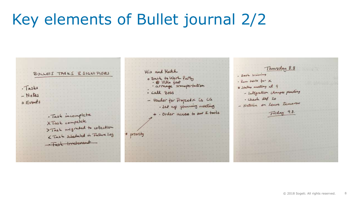## Key elements of Bullet journal 2/2

| BULLETS TASES & SIGNIFIERS<br>· Tasks<br>- Notes<br>o Events                                           | Hix and Hatch<br>o Back to Work Party<br>· Call Boss<br>is ca<br>- Vendor for Propert<br>· Set up planning meeting | Thursday 8.8<br>. Book training<br>· Run tests for X<br>@ Status<br>- Integration changes pending<br>· Check Sef 20<br>leave tomorrow<br>- Natalia on |
|--------------------------------------------------------------------------------------------------------|--------------------------------------------------------------------------------------------------------------------|-------------------------------------------------------------------------------------------------------------------------------------------------------|
| . Task incomplete<br>XTask compelete<br>>Task migrated to collection<br>L Tosk scheduled in Future 10g | * Order accent to any 2 tools                                                                                      | Friday 9.3.                                                                                                                                           |
|                                                                                                        |                                                                                                                    |                                                                                                                                                       |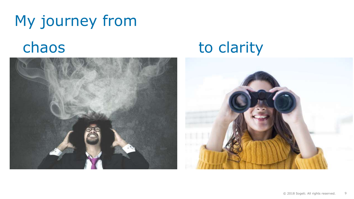## My journey from chaos to clarity

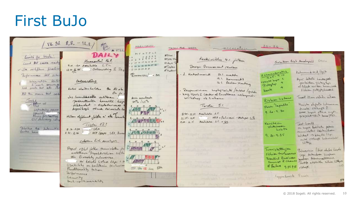### First BuJo

|                                                                     | $\frac{1}{18}.84$ 8.8. - 12.8.<br>A Ville                                                                                                           | <b>MAALISKUO</b>                                                                                                                                                                                                    |                                                                | macanantair 20-26<br>TASEL TO WEEK                                                                                                  |                                                             |                                                                                                                              |
|---------------------------------------------------------------------|-----------------------------------------------------------------------------------------------------------------------------------------------------|---------------------------------------------------------------------------------------------------------------------------------------------------------------------------------------------------------------------|----------------------------------------------------------------|-------------------------------------------------------------------------------------------------------------------------------------|-------------------------------------------------------------|------------------------------------------------------------------------------------------------------------------------------|
| Goods for week!<br>Lamb #st cases ready<br>Villa voilfleus finalise | DAILY<br>Haanantai 16.1.<br>9.15 - 130 Aventable 2.54<br>13.3 K.45. : Onboarding & Dex                                                              | MT KTPLS<br>$\frac{1}{\mu}$ $6 = \frac{1}{2} - \frac{2}{3} - \frac{3}{4} - \frac{4}{4}$<br>11 13 14 IT 14 19 18 19<br>12 4 2 2 2 2 2 2 3 2 3 2<br>$\Omega \rightarrow \Omega \rightarrow \Omega \rightarrow \Omega$ | M'Navi<br>EN'SPE FIX<br><b>ET ALM</b> TH<br>15 catan<br>Madked | Keskirikles 41 jatkun<br>Design Document review                                                                                     |                                                             | Solution Rish Analysis 60min<br>Kokemuk det/Opit                                                                             |
| Performance fort schee<br>integration testing                       | Onboarding<br>Katin alaitunhahtan On Ei ole                                                                                                         | $R_{\text{HTH OOH}}$ 1292/- - ALM                                                                                                                                                                                   |                                                                | 2 Katselmont<br>16.1, matche<br>121. Komment?<br>161. Review Heating                                                                | echaracteristics<br>- person lengue<br>Pisteylor<br>koste 4 | Hyve teledictionshipst.<br>Minteiden fistenstop<br>=> Mich uniter handwidth<br>Fishion patenty humani                        |
| Ad the move test care<br>$\frac{TaskS}{Tq_{00}}$<br>Lopeding power  | $0 - 1$<br>Jos lomaldecella valitaria<br>periastula huelta hop<br>oikludet - tietoturvas<br>hyvalya tama toiminta lo                                | Acris invanturente<br>$252 + 1252$<br>$1 - \mu$ 12 14 16<br>$\blacksquare$                                                                                                                                          |                                                                | Responsivem higher night / tests / public leagues & Could of Excellence milligning<br>Torstan 5.1<br>$8.45 - 11.15$ Available $4.5$ | Rislian Iretams<br>Yem lapulle<br>$9.20 - 9.30$             | Tunt than valid and<br>Muist outete literane<br>tunte miligé ?<br>at hypi other myst                                         |
| all delivery iden<br>Principle the Information                      | Milen objetunt foista a " Ne Tomal<br>$8.36 \cdot 110$<br>$8.36 \cdot 110$<br>$1.40 \cdot 1.40$<br>$1.40 \cdot 1.40$<br>$1.47$ $1.47$ $1.40$ $1.40$ | Andrew March<br>a San Ann Sanni                                                                                                                                                                                     |                                                                | $11.15 - 4.5$<br>$15.00 - 16.15$ Mailchare $3.5 = 6.6$                                                                              | Keratasa<br>yhternom                                        | projection to the 463.<br>lest Gould<br>on hyve hastet por<br>tunnibeted tostanhoem                                          |
|                                                                     | Solution Rich analyson<br>Project right jother turnisletter per                                                                                     | <b>LEWERER</b><br>Total Allen                                                                                                                                                                                       |                                                                |                                                                                                                                     | 9.30-9.35<br>Tunnistettinjan<br>rishier tarkennes           | kellet -> keyde lep.<br>mit shep behaules<br>$t_{\text{tot}}$ than<br>Princerise litré alubri Linde<br>lapi testambum scoper |
|                                                                     | van Biweekly palarerisa<br>Voi kayde listea Lapi 1.30<br>Usability on kaikkein tenheim<br>Finathonality tother<br>terformance                       | A May 1997<br>TP TH TE SOG 37h                                                                                                                                                                                      |                                                                |                                                                                                                                     | Potential Business<br>of Failure 9.51.955                   | burlinge tommallione.<br>Towards arrivates within littlepre<br>riber.                                                        |
|                                                                     | Security<br>Buck-up/recovereductory                                                                                                                 |                                                                                                                                                                                                                     |                                                                |                                                                                                                                     | hoppulsaste Tun                                             |                                                                                                                              |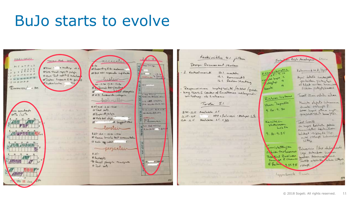### BuJo starts to evolve

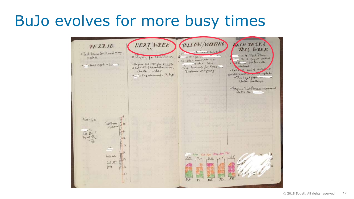### BuJo evolves for more busy times

TOLLOW/WATTING NEXT WEEK **VAINTASKS** PE 27.10. THIS WEEK O Test Procen Der. Rond may  $\pi$ 4  $\bar{1}$ est Plan X Happing for notes leat like  $x = 10' - 10'''$ Final Report update . Let : texter nominations a al l'aris status colle educe 20.10. oPrepare Rel UNT plan Kich OFF a street report + 50, 11 Rest Accounts for Rolesin Vitamo old high back of mind check - order Centimer mapping 30 Chs 8 Automobile updates our fequirements To ALM within lovet from more. Wtatus meetings OPregare Test Process improvement  $9.05 - 16.00$ Test Dones Improve Red 24  $315$  $1680$ have helder those day of Pross live **ALL UPT**  $prep$  $41$ Li7  $TQ$ KE  $T$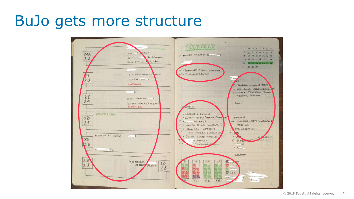### BuJo gets more structure

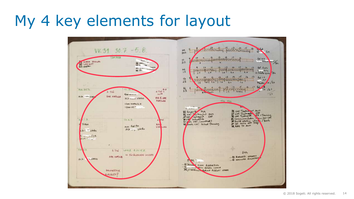### My 4 key elements for layout

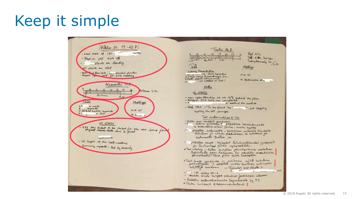## Keep it simple

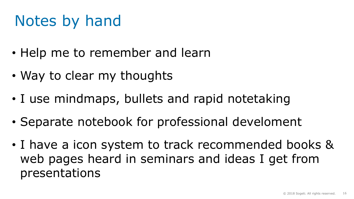## Notes by hand

- Help me to remember and learn
- Way to clear my thoughts
- I use mindmaps, bullets and rapid notetaking
- Separate notebook for professional develoment
- I have a icon system to track recommended books & web pages heard in seminars and ideas I get from presentations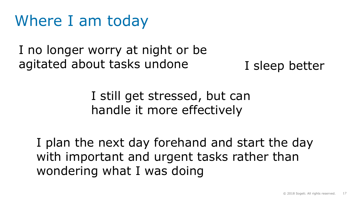### Where I am today

I no longer worry at night or be agitated about tasks undone I sleep better

### I still get stressed, but can handle it more effectively

I plan the next day forehand and start the day with important and urgent tasks rather than wondering what I was doing